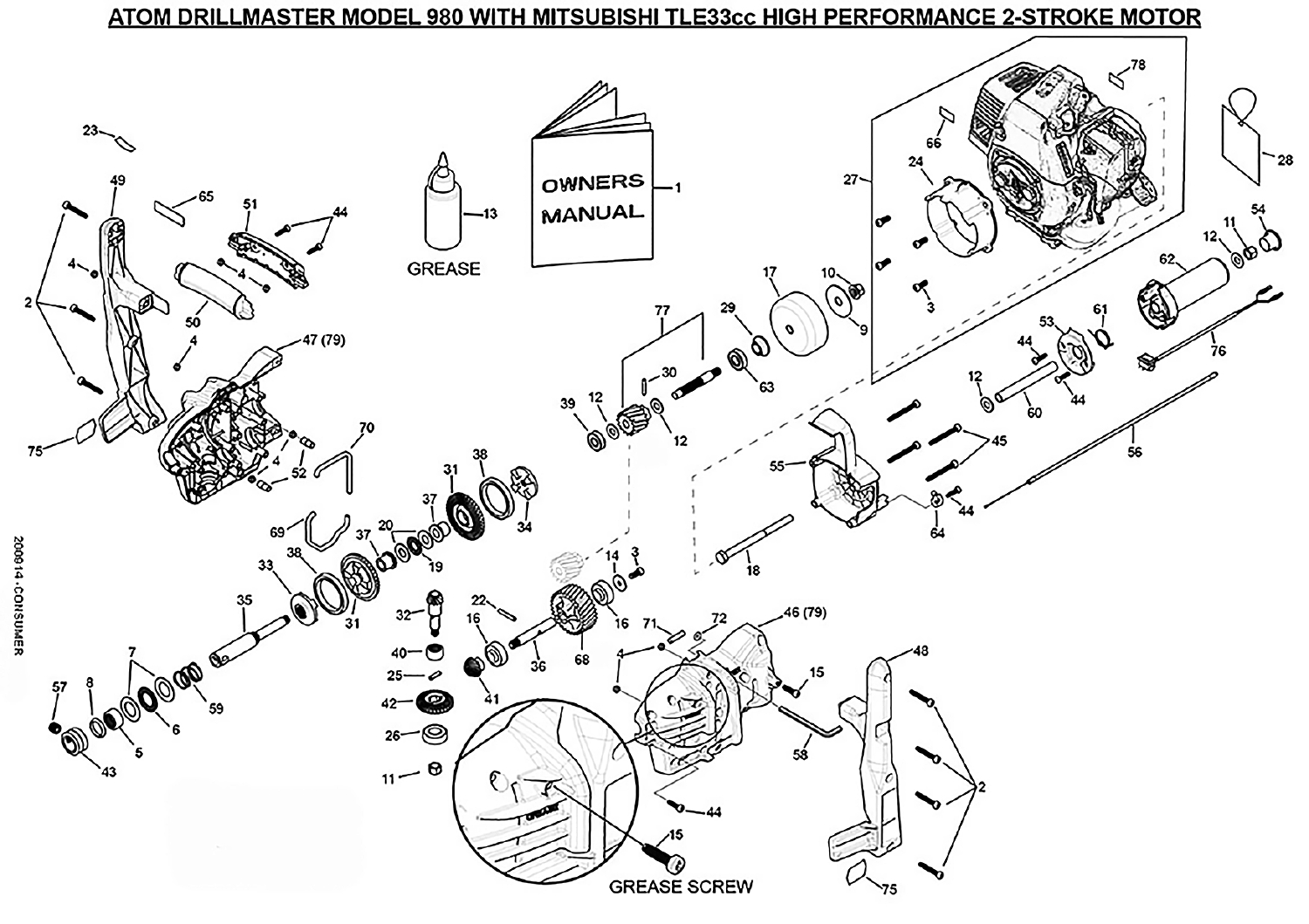## ATOM DRILLMASTER MODEL 980 WITH MITSUBISHI TLE33cc HIGH PERFORMANCE 2-STROKE MOTOR